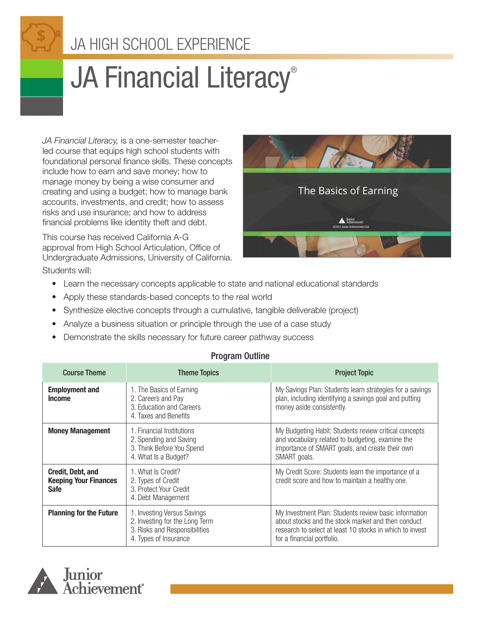# JA HIGH SCHOOL EXPERIENCE

# JA Financial Literacy®

*JA Financial Literacy,* is a one-semester teacherled course that equips high school students with foundational personal finance skills. These concepts include how to earn and save money; how to manage money by being a wise consumer and creating and using a budget; how to manage bank accounts, investments, and credit; how to assess risks and use insurance; and how to address financial problems like identity theft and debt.

This course has received California A-G approval from High School Articulation, Office of Undergraduate Admissions, University of California. Students will:



- Learn the necessary concepts applicable to state and national educational standards
- Apply these standards-based concepts to the real world
- Synthesize elective concepts through a cumulative, tangible deliverable (project)
- Analyze a business situation or principle through the use of a case study
- Demonstrate the skills necessary for future career pathway success

| <b>Course Theme</b>                                                     | <b>Theme Topics</b>                                                                                                     | <b>Project Topic</b>                                                                                                                                                                                  |
|-------------------------------------------------------------------------|-------------------------------------------------------------------------------------------------------------------------|-------------------------------------------------------------------------------------------------------------------------------------------------------------------------------------------------------|
| <b>Employment and</b><br><b>Income</b>                                  | 1. The Basics of Earning<br>2. Careers and Pay<br>3. Education and Careers<br>4. Taxes and Benefits                     | My Savings Plan: Students learn strategies for a savings<br>plan, including identifying a savings goal and putting<br>money aside consistently.                                                       |
| <b>Money Management</b>                                                 | 1. Financial Institutions<br>2. Spending and Saving<br>3. Think Before You Spend<br>4. What Is a Budget?                | My Budgeting Habit: Students review critical concepts<br>and vocabulary related to budgeting, examine the<br>importance of SMART goals, and create their own<br>SMART goals.                          |
| <b>Credit, Debt, and</b><br><b>Keeping Your Finances</b><br><b>Safe</b> | 1. What Is Credit?<br>2. Types of Credit<br>3. Protect Your Credit<br>4. Debt Management                                | My Credit Score: Students learn the importance of a<br>credit score and how to maintain a healthy one.                                                                                                |
| <b>Planning for the Future</b>                                          | 1. Investing Versus Savings<br>2. Investing for the Long Term<br>3. Risks and Responsibilities<br>4. Types of Insurance | My Investment Plan: Students review basic information<br>about stocks and the stock market and then conduct<br>research to select at least 10 stocks in which to invest<br>for a financial portfolio. |

#### Program Outline

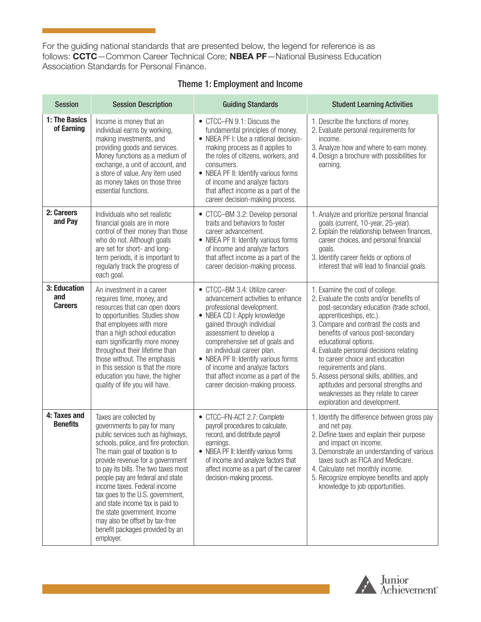For the guiding national standards that are presented below, the legend for reference is as follows: CCTC—Common Career Technical Core; NBEA PF—National Business Education Association Standards for Personal Finance.

| <b>Session</b>                        | <b>Session Description</b>                                                                                                                                                                                                                                                                                                                                                                                                                                                                                      | <b>Guiding Standards</b>                                                                                                                                                                                                                                                                                                                                                                                    | <b>Student Learning Activities</b>                                                                                                                                                                                                                                                                                                                                                                                                                                                                                           |
|---------------------------------------|-----------------------------------------------------------------------------------------------------------------------------------------------------------------------------------------------------------------------------------------------------------------------------------------------------------------------------------------------------------------------------------------------------------------------------------------------------------------------------------------------------------------|-------------------------------------------------------------------------------------------------------------------------------------------------------------------------------------------------------------------------------------------------------------------------------------------------------------------------------------------------------------------------------------------------------------|------------------------------------------------------------------------------------------------------------------------------------------------------------------------------------------------------------------------------------------------------------------------------------------------------------------------------------------------------------------------------------------------------------------------------------------------------------------------------------------------------------------------------|
| 1: The Basics<br>of Earning           | Income is money that an<br>individual earns by working,<br>making investments, and<br>providing goods and services.<br>Money functions as a medium of<br>exchange, a unit of account, and<br>a store of value. Any item used<br>as money takes on those three<br>essential functions.                                                                                                                                                                                                                           | • CTCC-FN 9.1: Discuss the<br>fundamental principles of money.<br>• NBEA PF I: Use a rational decision-<br>making process as it applies to<br>the roles of citizens, workers, and<br>consumers.<br>• NBEA PF II: Identify various forms<br>of income and analyze factors<br>that affect income as a part of the<br>career decision-making process.                                                          | 1. Describe the functions of money.<br>2. Evaluate personal requirements for<br>income.<br>3. Analyze how and where to earn money.<br>4. Design a brochure with possibilities for<br>earning.                                                                                                                                                                                                                                                                                                                                |
| 2: Careers<br>and Pay                 | Individuals who set realistic<br>financial goals are in more<br>control of their money than those<br>who do not. Although goals<br>are set for short- and long-<br>term periods, it is important to<br>regularly track the progress of<br>each goal.                                                                                                                                                                                                                                                            | • CTCC-BM 3.2: Develop personal<br>traits and behaviors to foster<br>career advancement.<br>• NBEA PF II: Identify various forms<br>of income and analyze factors<br>that affect income as a part of the<br>career decision-making process.                                                                                                                                                                 | 1. Analyze and prioritize personal financial<br>goals (current, 10-year, 25-year).<br>2. Explain the relationship between finances,<br>career choices, and personal financial<br>goals.<br>3. Identify career fields or options of<br>interest that will lead to financial goals.                                                                                                                                                                                                                                            |
| 3: Education<br>and<br><b>Careers</b> | An investment in a career<br>requires time, money, and<br>resources that can open doors<br>to opportunities. Studies show<br>that employees with more<br>than a high school education<br>earn significantly more money<br>throughout their lifetime than<br>those without. The emphasis<br>in this session is that the more<br>education you have, the higher<br>quality of life you will have.                                                                                                                 | • CTCC-BM 3.4: Utilize career-<br>advancement activities to enhance<br>professional development.<br>• NBEA CD I: Apply knowledge<br>gained through individual<br>assessment to develop a<br>comprehensive set of goals and<br>an individual career plan.<br>• NBEA PF II: Identify various forms<br>of income and analyze factors<br>that affect income as a part of the<br>career decision-making process. | 1. Examine the cost of college.<br>2. Evaluate the costs and/or benefits of<br>post-secondary education (trade school,<br>apprenticeships, etc.).<br>3. Compare and contrast the costs and<br>benefits of various post-secondary<br>educational options.<br>4. Evaluate personal decisions relating<br>to career choice and education<br>requirements and plans.<br>5. Assess personal skills, abilities, and<br>aptitudes and personal strengths and<br>weaknesses as they relate to career<br>exploration and development. |
| 4: Taxes and<br><b>Benefits</b>       | Taxes are collected by<br>governments to pay for many<br>public services such as highways,<br>schools, police, and fire protection.<br>The main goal of taxation is to<br>provide revenue for a government<br>to pay its bills. The two taxes most<br>people pay are federal and state<br>income taxes. Federal income<br>tax goes to the U.S. government,<br>and state income tax is paid to<br>the state government. Income<br>may also be offset by tax-free<br>benefit packages provided by an<br>employer. | • CTCC-FN-ACT 2.7: Complete<br>payroll procedures to calculate,<br>record, and distribute payroll<br>earnings.<br>• NBEA PF II: Identify various forms<br>of income and analyze factors that<br>affect income as a part of the career<br>decision-making process.                                                                                                                                           | 1. Identify the difference between gross pay<br>and net pay.<br>2. Define taxes and explain their purpose<br>and impact on income.<br>3. Demonstrate an understanding of various<br>taxes such as FICA and Medicare.<br>4. Calculate net monthly income.<br>5. Recognize employee benefits and apply<br>knowledge to job opportunities.                                                                                                                                                                                      |

#### Theme 1: Employment and Income

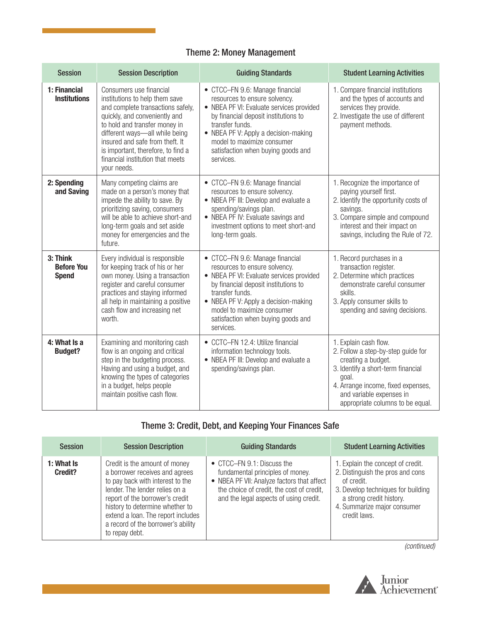### Theme 2: Money Management

| <b>Session</b>                                | <b>Session Description</b>                                                                                                                                                                                                                                                                                                     | <b>Guiding Standards</b>                                                                                                                                                                                                                                                                         | <b>Student Learning Activities</b>                                                                                                                                                                                                     |
|-----------------------------------------------|--------------------------------------------------------------------------------------------------------------------------------------------------------------------------------------------------------------------------------------------------------------------------------------------------------------------------------|--------------------------------------------------------------------------------------------------------------------------------------------------------------------------------------------------------------------------------------------------------------------------------------------------|----------------------------------------------------------------------------------------------------------------------------------------------------------------------------------------------------------------------------------------|
| 1: Financial<br><b>Institutions</b>           | Consumers use financial<br>institutions to help them save<br>and complete transactions safely,<br>quickly, and conveniently and<br>to hold and transfer money in<br>different ways-all while being<br>insured and safe from theft. It<br>is important, therefore, to find a<br>financial institution that meets<br>your needs. | • CTCC-FN 9.6: Manage financial<br>resources to ensure solvency.<br>• NBEA PF VI: Evaluate services provided<br>by financial deposit institutions to<br>transfer funds.<br>• NBEA PF V: Apply a decision-making<br>model to maximize consumer<br>satisfaction when buying goods and<br>services. | 1. Compare financial institutions<br>and the types of accounts and<br>services they provide.<br>2. Investigate the use of different<br>payment methods.                                                                                |
| 2: Spending<br>and Saving                     | Many competing claims are<br>made on a person's money that<br>impede the ability to save. By<br>prioritizing saving, consumers<br>will be able to achieve short-and<br>long-term goals and set aside<br>money for emergencies and the<br>future.                                                                               | • CTCC-FN 9.6: Manage financial<br>resources to ensure solvency.<br>• NBEA PF III: Develop and evaluate a<br>spending/savings plan.<br>• NBEA PF IV: Evaluate savings and<br>investment options to meet short-and<br>long-term goals.                                                            | 1. Recognize the importance of<br>paying yourself first.<br>2. Identify the opportunity costs of<br>savings.<br>3. Compare simple and compound<br>interest and their impact on<br>savings, including the Rule of 72.                   |
| 3: Think<br><b>Before You</b><br><b>Spend</b> | Every individual is responsible<br>for keeping track of his or her<br>own money. Using a transaction<br>register and careful consumer<br>practices and staying informed<br>all help in maintaining a positive<br>cash flow and increasing net<br>worth.                                                                        | • CTCC-FN 9.6: Manage financial<br>resources to ensure solvency.<br>• NBEA PF VI: Evaluate services provided<br>by financial deposit institutions to<br>transfer funds.<br>• NBEA PF V: Apply a decision-making<br>model to maximize consumer<br>satisfaction when buying goods and<br>services. | 1. Record purchases in a<br>transaction register.<br>2. Determine which practices<br>demonstrate careful consumer<br>skills.<br>3. Apply consumer skills to<br>spending and saving decisions.                                          |
| 4: What Is a<br><b>Budget?</b>                | Examining and monitoring cash<br>flow is an ongoing and critical<br>step in the budgeting process.<br>Having and using a budget, and<br>knowing the types of categories<br>in a budget, helps people<br>maintain positive cash flow.                                                                                           | • CCTC-FN 12.4: Utilize financial<br>information technology tools.<br>• NBEA PF III: Develop and evaluate a<br>spending/savings plan.                                                                                                                                                            | 1. Explain cash flow.<br>2. Follow a step-by-step guide for<br>creating a budget.<br>3. Identify a short-term financial<br>goal.<br>4. Arrange income, fixed expenses,<br>and variable expenses in<br>appropriate columns to be equal. |

# Theme 3: Credit, Debt, and Keeping Your Finances Safe

| <b>Session</b>        | <b>Session Description</b>                                                                                                                                                                                                                                                                                | <b>Guiding Standards</b>                                                                                                                                                                                    | <b>Student Learning Activities</b>                                                                                                                                                                   |
|-----------------------|-----------------------------------------------------------------------------------------------------------------------------------------------------------------------------------------------------------------------------------------------------------------------------------------------------------|-------------------------------------------------------------------------------------------------------------------------------------------------------------------------------------------------------------|------------------------------------------------------------------------------------------------------------------------------------------------------------------------------------------------------|
| 1: What Is<br>Credit? | Credit is the amount of money<br>a borrower receives and agrees<br>to pay back with interest to the<br>lender. The lender relies on a<br>report of the borrower's credit<br>history to determine whether to<br>extend a loan. The report includes<br>a record of the borrower's ability<br>to repay debt. | $\bullet$ CTCC-FN 9.1: Discuss the<br>fundamental principles of money.<br>• NBEA PF VII: Analyze factors that affect<br>the choice of credit, the cost of credit,<br>and the legal aspects of using credit. | 1. Explain the concept of credit.<br>2. Distinguish the pros and cons<br>of credit.<br>3. Develop techniques for building<br>a strong credit history.<br>4. Summarize major consumer<br>credit laws. |

*(continued)*

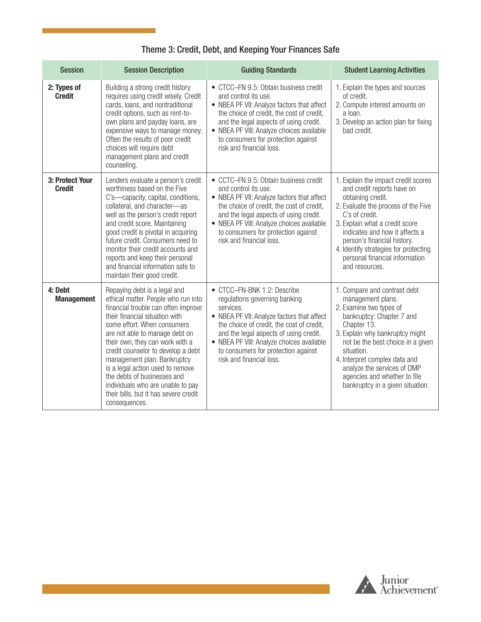| Theme 3: Credit, Debt, and Keeping Your Finances Safe |  |  |
|-------------------------------------------------------|--|--|
|-------------------------------------------------------|--|--|

| <b>Session</b>                   | <b>Session Description</b>                                                                                                                                                                                                                                                                                                                                                                                                                                                              | <b>Guiding Standards</b>                                                                                                                                                                                                                                                                                                       | <b>Student Learning Activities</b>                                                                                                                                                                                                                                                                                                                 |
|----------------------------------|-----------------------------------------------------------------------------------------------------------------------------------------------------------------------------------------------------------------------------------------------------------------------------------------------------------------------------------------------------------------------------------------------------------------------------------------------------------------------------------------|--------------------------------------------------------------------------------------------------------------------------------------------------------------------------------------------------------------------------------------------------------------------------------------------------------------------------------|----------------------------------------------------------------------------------------------------------------------------------------------------------------------------------------------------------------------------------------------------------------------------------------------------------------------------------------------------|
| 2: Types of<br><b>Credit</b>     | Building a strong credit history<br>requires using credit wisely. Credit<br>cards, loans, and nontraditional<br>credit options, such as rent-to-<br>own plans and payday loans, are<br>expensive ways to manage money.<br>Often the results of poor credit<br>choices will require debt<br>management plans and credit<br>counseling.                                                                                                                                                   | • CTCC-FN 9.5: Obtain business credit<br>and control its use.<br>• NBEA PF VII: Analyze factors that affect<br>the choice of credit, the cost of credit,<br>and the legal aspects of using credit.<br>• NBEA PF VIII: Analyze choices available<br>to consumers for protection against<br>risk and financial loss.             | 1. Explain the types and sources<br>of credit.<br>2. Compute interest amounts on<br>a loan.<br>3. Develop an action plan for fixing<br>bad credit.                                                                                                                                                                                                 |
| 3: Protect Your<br><b>Credit</b> | Lenders evaluate a person's credit<br>worthiness based on the Five<br>C's-capacity, capital, conditions,<br>collateral, and character-as<br>well as the person's credit report<br>and credit score. Maintaining<br>good credit is pivotal in acquiring<br>future credit. Consumers need to<br>monitor their credit accounts and<br>reports and keep their personal<br>and financial information safe to<br>maintain their good credit.                                                  | • CCTC-FN 9.5: Obtain business credit<br>and control its use.<br>• NBEA PF VII: Analyze factors that affect<br>the choice of credit, the cost of credit,<br>and the legal aspects of using credit.<br>• NBEA PF VIII: Analyze choices available<br>to consumers for protection against<br>risk and financial loss.             | 1. Explain the impact credit scores<br>and credit reports have on<br>obtaining credit.<br>2. Evaluate the process of the Five<br>C's of credit.<br>3. Explain what a credit score<br>indicates and how it affects a<br>person's financial history.<br>4. Identify strategies for protecting<br>personal financial information<br>and resources.    |
| 4: Debt<br><b>Management</b>     | Repaying debt is a legal and<br>ethical matter. People who run into<br>financial trouble can often improve<br>their financial situation with<br>some effort. When consumers<br>are not able to manage debt on<br>their own, they can work with a<br>credit counselor to develop a debt<br>management plan. Bankruptcy<br>is a legal action used to remove<br>the debts of businesses and<br>individuals who are unable to pay<br>their bills, but it has severe credit<br>consequences. | • CTCC-FN-BNK 1.2: Describe<br>regulations governing banking<br>services.<br>• NBEA PF VII: Analyze factors that affect<br>the choice of credit, the cost of credit,<br>and the legal aspects of using credit.<br>• NBEA PF VIII: Analyze choices available<br>to consumers for protection against<br>risk and financial loss. | 1. Compare and contrast debt<br>management plans.<br>2. Examine two types of<br>bankruptcy: Chapter 7 and<br>Chapter 13.<br>3. Explain why bankruptcy might<br>not be the best choice in a given<br>situation.<br>4. Interpret complex data and<br>analyze the services of DMP<br>agencies and whether to file<br>bankruptcy in a given situation. |